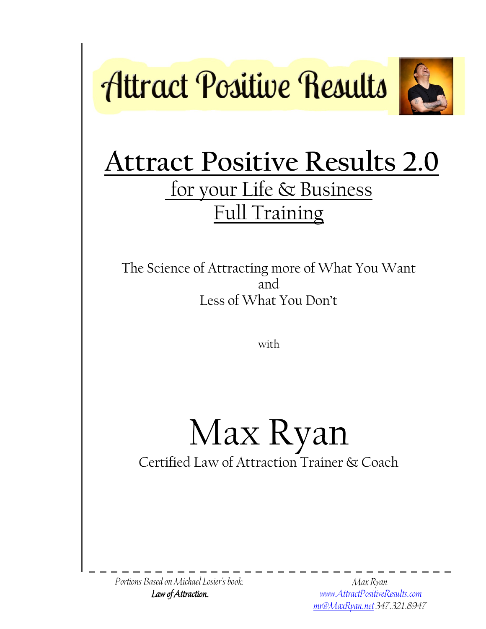



The Science of Attracting more of What You Want and Less of What You Don't

with

Max Ryan Certified Law of Attraction Trainer & Coach

Portions Based on Michael Losier's book: Law of Attraction.

Max Ryan [www.AttractPositiveResults.com](http://www.attractpositiveresults.com/) [mr@MaxRyan.net](mailto:mr@MaxRyan.net) 347.321.8947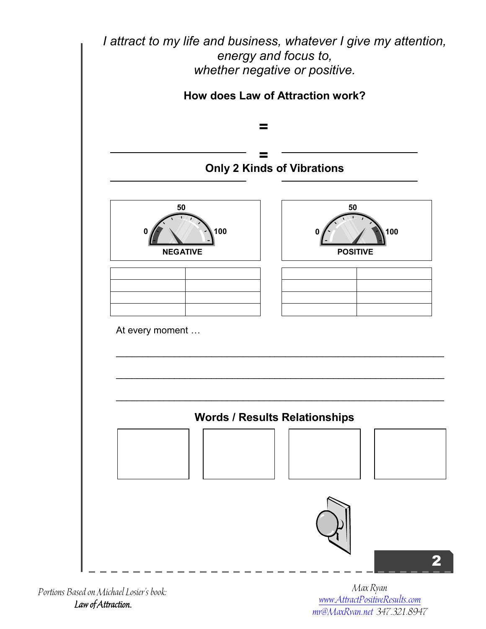

Portions Based on Michael Losier's book: Law of Attraction.

Max Ryan [www.AttractPositiveResults.com](http://www.attractpositiveresults.com/) [mr@MaxRyan.net](mailto:mr@MaxRyan.net) 347.321.8947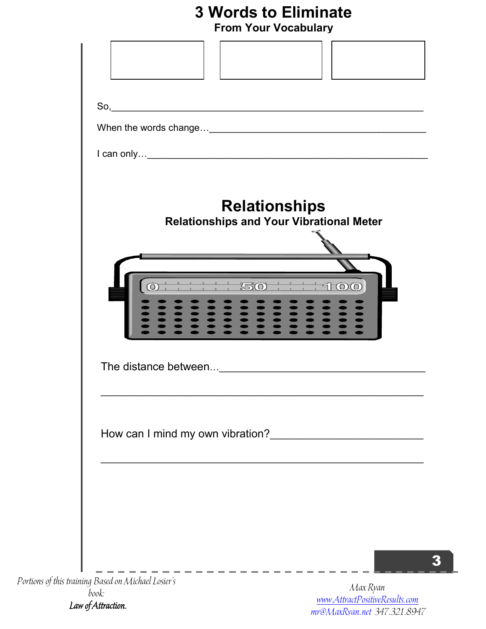## **3 Words to Eliminate**

|  |  |  | <b>From Your Vocabulary</b> |
|--|--|--|-----------------------------|
|--|--|--|-----------------------------|

| So,                                                                     |
|-------------------------------------------------------------------------|
|                                                                         |
| <b>Relationships</b><br><b>Relationships and Your Vibrational Meter</b> |
| $50 + 100$<br>$\overline{\text{O}}$<br>222                              |
|                                                                         |
| How can I mind my own vibration?                                        |
|                                                                         |
|                                                                         |

book: Law of Attraction.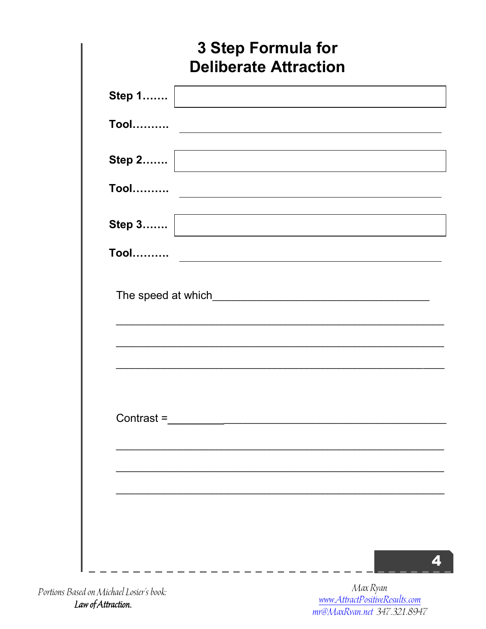|                                                        | <b>3 Step Formula for</b> | <b>Deliberate Attraction</b>                                               |  |  |
|--------------------------------------------------------|---------------------------|----------------------------------------------------------------------------|--|--|
| Step 1                                                 |                           | the control of the control of the control of the control of the control of |  |  |
| <b>Tool</b>                                            |                           |                                                                            |  |  |
| Step 2                                                 |                           |                                                                            |  |  |
| <b>Tool</b>                                            |                           |                                                                            |  |  |
| Step $3$                                               |                           |                                                                            |  |  |
| <b>Tool……….</b>                                        |                           |                                                                            |  |  |
| The speed at which Manual Allen and The speed at which |                           |                                                                            |  |  |
|                                                        |                           |                                                                            |  |  |
| Contrast =                                             |                           |                                                                            |  |  |
|                                                        |                           |                                                                            |  |  |
|                                                        |                           |                                                                            |  |  |
|                                                        |                           |                                                                            |  |  |
|                                                        |                           |                                                                            |  |  |

Portions Based on Michael Losier's book: Law of Attraction.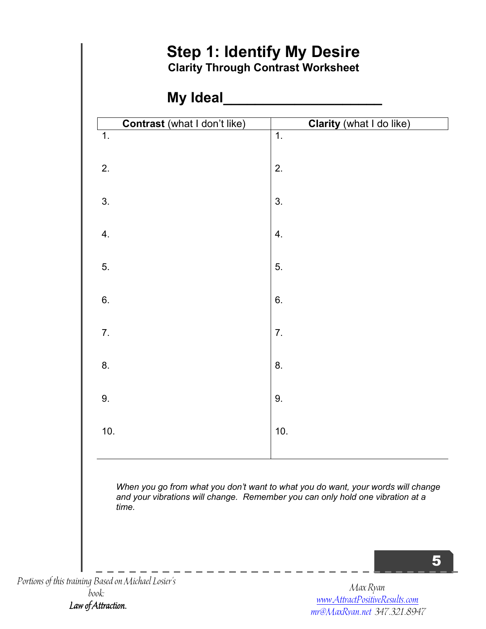

*When you go from what you don't want to what you do want, your words will change and your vibrations will change. Remember you can only hold one vibration at a time.*

5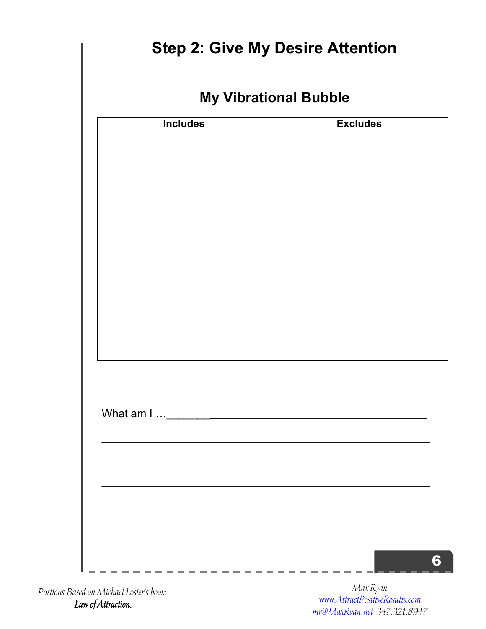| <b>Includes</b> | <b>Excludes</b> |
|-----------------|-----------------|
|                 |                 |
|                 |                 |
|                 |                 |
|                 |                 |
|                 |                 |
|                 |                 |
|                 |                 |
|                 |                 |
|                 |                 |
|                 |                 |
|                 |                 |
|                 |                 |
|                 |                 |
|                 |                 |
|                 |                 |
|                 |                 |
|                 |                 |
|                 |                 |
|                 |                 |
|                 |                 |
|                 |                 |

Portions Based on Michael Losier's book: Law of Attraction.

Max Ryan [www.AttractPositiveResults.com](http://www.attractpositiveresults.com/) [mr@MaxRyan.net](mailto:mr@MaxRyan.net) 347.321.8947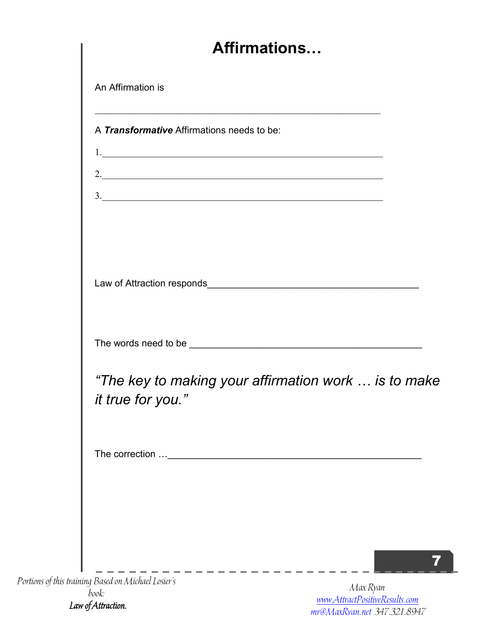| <b>Affirmations</b>                                                                                              |  |
|------------------------------------------------------------------------------------------------------------------|--|
| An Affirmation is                                                                                                |  |
| <u> 1989 - Johann Stoff, amerikansk politiker (d. 1989)</u><br>A <b>Transformative</b> Affirmations needs to be: |  |
| 1.                                                                                                               |  |
| 3.                                                                                                               |  |
|                                                                                                                  |  |
|                                                                                                                  |  |
|                                                                                                                  |  |
| "The key to making your affirmation work  is to make<br>it true for you."                                        |  |
|                                                                                                                  |  |
|                                                                                                                  |  |
|                                                                                                                  |  |
|                                                                                                                  |  |

Portions of this training Based on Michael Losier's book: Law of Attraction.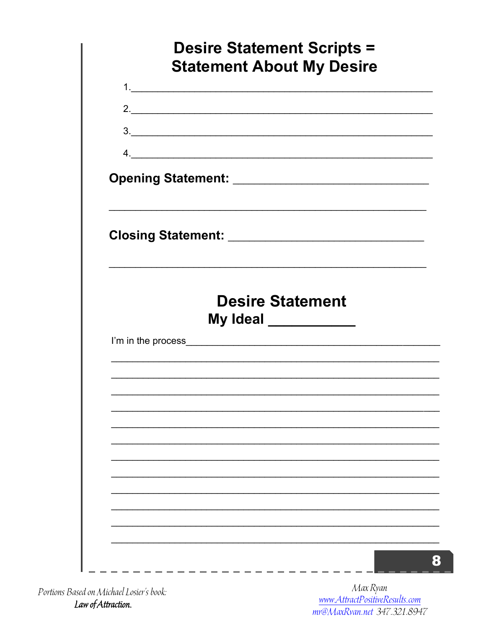| <b>Statement About My Desire</b> | <b>Desire Statement Scripts =</b> |  |
|----------------------------------|-----------------------------------|--|
|                                  |                                   |  |
| 2.                               |                                   |  |
| 3.                               |                                   |  |
|                                  |                                   |  |
|                                  |                                   |  |
|                                  |                                   |  |
|                                  |                                   |  |
|                                  |                                   |  |
|                                  |                                   |  |
|                                  | <b>Desire Statement</b>           |  |
|                                  | My Ideal ___________              |  |
|                                  |                                   |  |
|                                  |                                   |  |
|                                  |                                   |  |
|                                  |                                   |  |
|                                  |                                   |  |
|                                  |                                   |  |
|                                  |                                   |  |
|                                  |                                   |  |
|                                  |                                   |  |

Portions Based on Michael Losier's book: Law of Attraction.

Max Ryan<br>www.AttractPositiveResults.com<br>mr@MaxRvan.net\_347.321.8947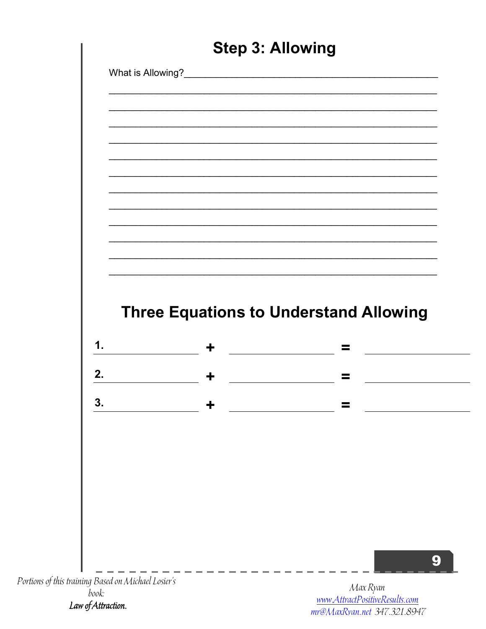|                                                     | <b>Step 3: Allowing</b> |                                                |
|-----------------------------------------------------|-------------------------|------------------------------------------------|
|                                                     |                         | What is Allowing?<br><u> What is Allowing?</u> |
|                                                     |                         |                                                |
|                                                     |                         |                                                |
|                                                     |                         |                                                |
|                                                     |                         |                                                |
|                                                     |                         |                                                |
|                                                     |                         |                                                |
|                                                     |                         |                                                |
|                                                     |                         |                                                |
|                                                     |                         |                                                |
|                                                     |                         |                                                |
|                                                     |                         | <b>Three Equations to Understand Allowing</b>  |
| 1.                                                  | $\ddagger$              | $\equiv$                                       |
| 2.                                                  | $\ddagger$              | $\equiv$                                       |
| 3.                                                  |                         |                                                |
|                                                     |                         |                                                |
|                                                     |                         |                                                |
|                                                     |                         |                                                |
|                                                     |                         |                                                |
|                                                     |                         |                                                |
|                                                     |                         |                                                |
|                                                     |                         |                                                |
|                                                     |                         |                                                |
| Portions of this training Based on Michael Losier's |                         |                                                |

Law of Attraction.

mr@MaxRyan.net 347.321.8947